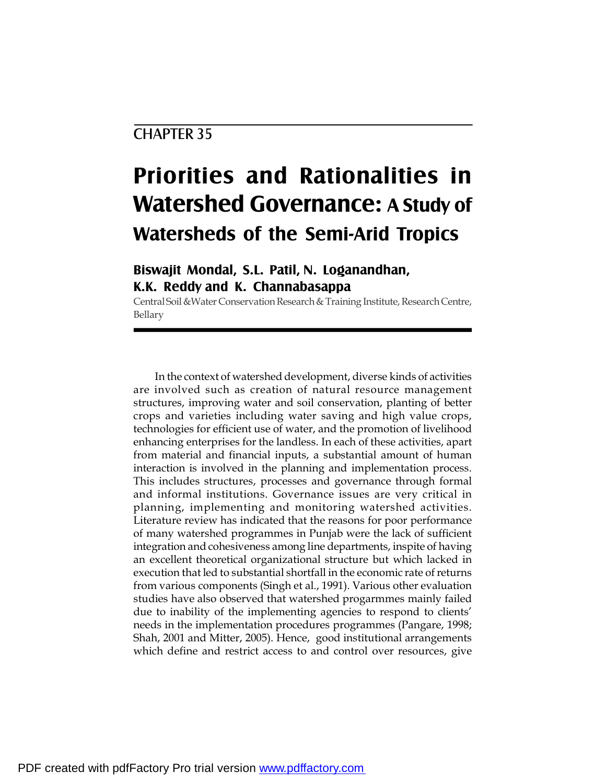# CHAPTER 35

# **Priorities and Rationalities in Watershed Governance: A Study of Watersheds of the Semi-Arid Tropics**

## **Biswajit Mondal, S.L. Patil, N. Loganandhan, K.K. Reddy and K. Channabasappa**

Central Soil & Water Conservation Research & Training Institute, Research Centre, Bellary

In the context of watershed development, diverse kinds of activities are involved such as creation of natural resource management structures, improving water and soil conservation, planting of better crops and varieties including water saving and high value crops, technologies for efficient use of water, and the promotion of livelihood enhancing enterprises for the landless. In each of these activities, apart from material and financial inputs, a substantial amount of human interaction is involved in the planning and implementation process. This includes structures, processes and governance through formal and informal institutions. Governance issues are very critical in planning, implementing and monitoring watershed activities. Literature review has indicated that the reasons for poor performance of many watershed programmes in Punjab were the lack of sufficient integration and cohesiveness among line departments, inspite of having an excellent theoretical organizational structure but which lacked in execution that led to substantial shortfall in the economic rate of returns from various components (Singh et al., 1991). Various other evaluation studies have also observed that watershed progarmmes mainly failed due to inability of the implementing agencies to respond to clients' needs in the implementation procedures programmes (Pangare, 1998; Shah, 2001 and Mitter, 2005). Hence, good institutional arrangements which define and restrict access to and control over resources, give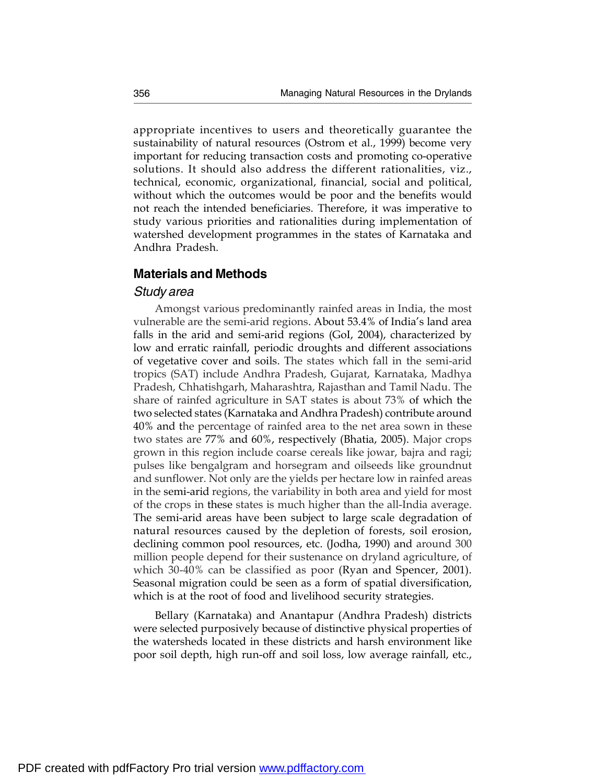appropriate incentives to users and theoretically guarantee the sustainability of natural resources (Ostrom et al., 1999) become very important for reducing transaction costs and promoting co-operative solutions. It should also address the different rationalities, viz., technical, economic, organizational, financial, social and political, without which the outcomes would be poor and the benefits would not reach the intended beneficiaries. Therefore, it was imperative to study various priorities and rationalities during implementation of watershed development programmes in the states of Karnataka and Andhra Pradesh.

## **Materials and Methods**

#### *Study area*

Amongst various predominantly rainfed areas in India, the most vulnerable are the semi-arid regions. About 53.4% of India's land area falls in the arid and semi-arid regions (GoI, 2004), characterized by low and erratic rainfall, periodic droughts and different associations of vegetative cover and soils. The states which fall in the semi-arid tropics (SAT) include Andhra Pradesh, Gujarat, Karnataka, Madhya Pradesh, Chhatishgarh, Maharashtra, Rajasthan and Tamil Nadu. The share of rainfed agriculture in SAT states is about 73% of which the two selected states (Karnataka and Andhra Pradesh) contribute around 40% and the percentage of rainfed area to the net area sown in these two states are 77% and 60%, respectively (Bhatia, 2005). Major crops grown in this region include coarse cereals like jowar, bajra and ragi; pulses like bengalgram and horsegram and oilseeds like groundnut and sunflower. Not only are the yields per hectare low in rainfed areas in the semi-arid regions, the variability in both area and yield for most of the crops in these states is much higher than the all-India average. The semi-arid areas have been subject to large scale degradation of natural resources caused by the depletion of forests, soil erosion, declining common pool resources, etc. (Jodha, 1990) and around 300 million people depend for their sustenance on dryland agriculture, of which 30-40% can be classified as poor (Ryan and Spencer, 2001). Seasonal migration could be seen as a form of spatial diversification, which is at the root of food and livelihood security strategies.

Bellary (Karnataka) and Anantapur (Andhra Pradesh) districts were selected purposively because of distinctive physical properties of the watersheds located in these districts and harsh environment like poor soil depth, high run-off and soil loss, low average rainfall, etc.,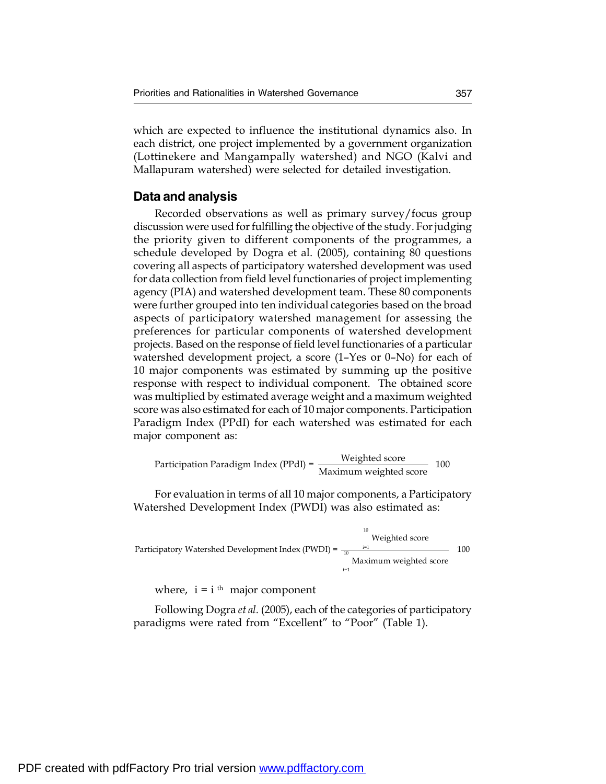which are expected to influence the institutional dynamics also. In each district, one project implemented by a government organization (Lottinekere and Mangampally watershed) and NGO (Kalvi and Mallapuram watershed) were selected for detailed investigation.

#### **Data and analysis**

Recorded observations as well as primary survey/focus group discussion were used for fulfilling the objective of the study. For judging the priority given to different components of the programmes, a schedule developed by Dogra et al. (2005), containing 80 questions covering all aspects of participatory watershed development was used for data collection from field level functionaries of project implementing agency (PIA) and watershed development team. These 80 components were further grouped into ten individual categories based on the broad aspects of participatory watershed management for assessing the preferences for particular components of watershed development projects. Based on the response of field level functionaries of a particular watershed development project, a score (1–Yes or 0–No) for each of 10 major components was estimated by summing up the positive response with respect to individual component. The obtained score was multiplied by estimated average weight and a maximum weighted score was also estimated for each of 10 major components. Participation Paradigm Index (PPdI) for each watershed was estimated for each major component as:

Participation Paradigm Index (PPdI) =  $\frac{\text{Weighted score}}{\text{Maximum weighted score}}$  100

For evaluation in terms of all 10 major components, a Participatory Watershed Development Index (PWDI) was also estimated as:

10 i=1 Participatory Watershed Development Index (PWDI) =  $\frac{1}{10}$  $i=1$ Weighted score Maximum weighted score

where,  $i = i$ <sup>th</sup> major component

Following Dogra *et al.* (2005), each of the categories of participatory paradigms were rated from "Excellent" to "Poor" (Table 1).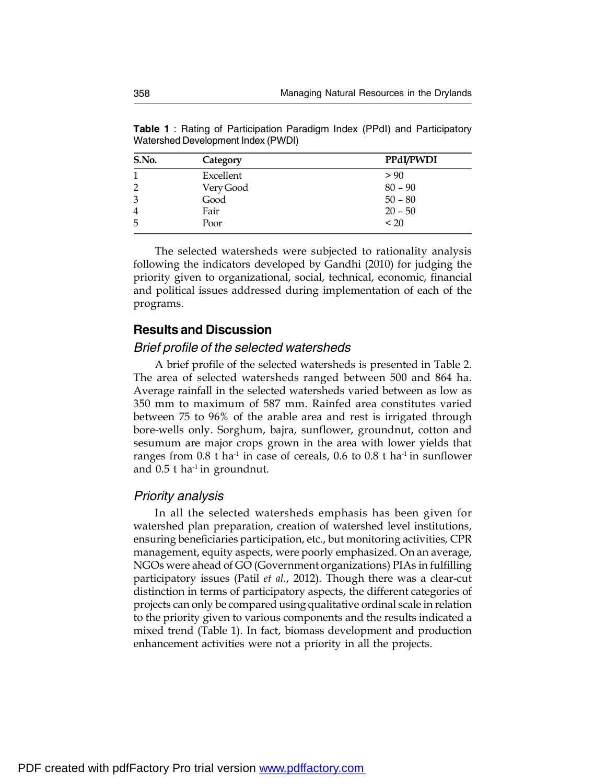**Table 1** : Rating of Participation Paradigm Index (PPdI) and Participatory Watershed Development Index (PWDI)

| S.No.          | Category  | PPdI/PWDI |
|----------------|-----------|-----------|
| 1              | Excellent | > 90      |
| $\overline{2}$ | Very Good | $80 - 90$ |
| 3              | Good      | $50 - 80$ |
| $\overline{4}$ | Fair      | $20 - 50$ |
| 5              | Poor      | < 20      |

The selected watersheds were subjected to rationality analysis following the indicators developed by Gandhi (2010) for judging the priority given to organizational, social, technical, economic, financial and political issues addressed during implementation of each of the programs.

### **Results and Discussion**

#### *Brief profile of the selected watersheds*

A brief profile of the selected watersheds is presented in Table 2. The area of selected watersheds ranged between 500 and 864 ha. Average rainfall in the selected watersheds varied between as low as 350 mm to maximum of 587 mm. Rainfed area constitutes varied between 75 to 96% of the arable area and rest is irrigated through bore-wells only. Sorghum, bajra, sunflower, groundnut, cotton and sesumum are major crops grown in the area with lower yields that ranges from  $0.8$  t ha<sup>-1</sup> in case of cereals,  $0.6$  to  $0.8$  t ha<sup>-1</sup> in sunflower and  $0.5$  t ha<sup>-1</sup> in groundnut.

#### *Priority analysis*

In all the selected watersheds emphasis has been given for watershed plan preparation, creation of watershed level institutions, ensuring beneficiaries participation, etc., but monitoring activities, CPR management, equity aspects, were poorly emphasized. On an average, NGOs were ahead of GO (Government organizations) PIAs in fulfilling participatory issues (Patil *et al.*, 2012). Though there was a clear-cut distinction in terms of participatory aspects, the different categories of projects can only be compared using qualitative ordinal scale in relation to the priority given to various components and the results indicated a mixed trend (Table 1). In fact, biomass development and production enhancement activities were not a priority in all the projects.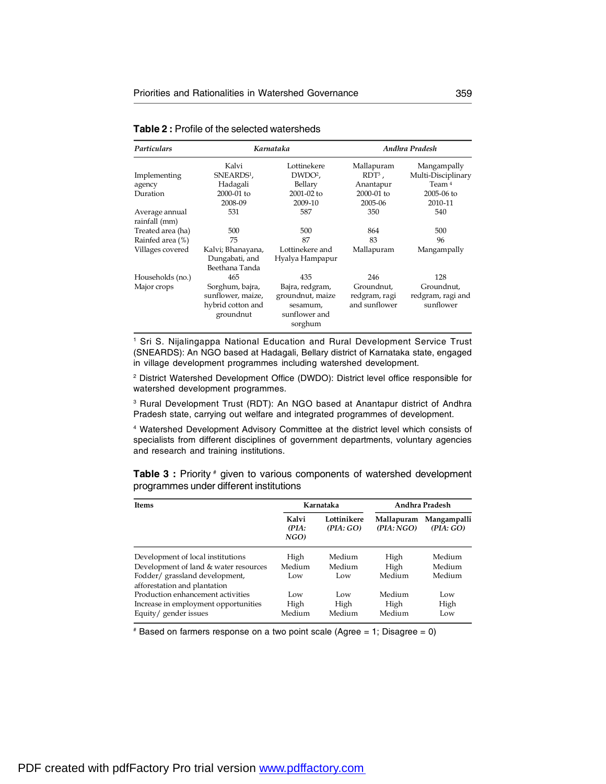| Particulars                     | Karnataka                                                              |                                                                             | Andhra Pradesh                               |                                              |  |
|---------------------------------|------------------------------------------------------------------------|-----------------------------------------------------------------------------|----------------------------------------------|----------------------------------------------|--|
|                                 | Kalvi                                                                  | Lottinekere                                                                 | Mallapuram                                   | Mangampally                                  |  |
| Implementing                    | SNEARDS <sup>1</sup> ,                                                 | DWDO <sup>2</sup> ,                                                         | $RDT3$ ,                                     | Multi-Disciplinary                           |  |
| agency                          | Hadagali                                                               | Bellary                                                                     | Anantapur                                    | Team <sup>4</sup>                            |  |
| Duration                        | 2000-01 to                                                             | 2001-02 to                                                                  | 2000-01 to                                   | 2005-06 to                                   |  |
|                                 | 2008-09                                                                | 2009-10                                                                     | 2005-06                                      | 2010-11                                      |  |
| Average annual<br>rainfall (mm) | 531                                                                    | 587                                                                         | 350                                          | 540                                          |  |
| Treated area (ha)               | 500                                                                    | 500                                                                         | 864                                          | 500                                          |  |
| Rainfed area (%)                | 75                                                                     | 87                                                                          | 83                                           | 96                                           |  |
| Villages covered                | Kalvi; Bhanayana,<br>Dungabati, and<br>Beethana Tanda                  | Lottinekere and<br>Hyalya Hampapur                                          | Mallapuram                                   | Mangampally                                  |  |
| Households (no.)                | 465                                                                    | 435                                                                         | 246                                          | 128                                          |  |
| Major crops                     | Sorghum, bajra,<br>sunflower, maize,<br>hybrid cotton and<br>groundnut | Bajra, redgram,<br>groundnut, maize<br>sesamum,<br>sunflower and<br>sorghum | Groundnut.<br>redgram, ragi<br>and sunflower | Groundnut,<br>redgram, ragi and<br>sunflower |  |

#### **Table 2 :** Profile of the selected watersheds

<sup>1</sup> Sri S. Nijalingappa National Education and Rural Development Service Trust (SNEARDS): An NGO based at Hadagali, Bellary district of Karnataka state, engaged in village development programmes including watershed development.

<sup>2</sup> District Watershed Development Office (DWDO): District level office responsible for watershed development programmes.

<sup>3</sup> Rural Development Trust (RDT): An NGO based at Anantapur district of Andhra Pradesh state, carrying out welfare and integrated programmes of development.

<sup>4</sup> Watershed Development Advisory Committee at the district level which consists of specialists from different disciplines of government departments, voluntary agencies and research and training institutions.

**Table 3 :** Priority # given to various components of watershed development programmes under different institutions

| <b>Items</b>                                                  | Karnataka              |                         | Andhra Pradesh          |                         |
|---------------------------------------------------------------|------------------------|-------------------------|-------------------------|-------------------------|
|                                                               | Kalvi<br>(PIA:<br>NGO) | Lottinikere<br>(PIA:GO) | Mallapuram<br>(PIA:NGO) | Mangampalli<br>(PIA:GO) |
| Development of local institutions                             | High                   | Medium                  | High                    | Medium                  |
| Development of land & water resources                         | Medium                 | Medium                  | High                    | Medium                  |
| Fodder/grassland development,<br>afforestation and plantation | Low                    | Low                     | Medium                  | Medium                  |
| Production enhancement activities                             | Low                    | Low                     | Medium                  | Low                     |
| Increase in employment opportunities                          | High                   | High                    | High                    | High                    |
| Equity/gender issues                                          | Medium                 | Medium                  | Medium                  | Low                     |

 $*$  Based on farmers response on a two point scale (Agree = 1; Disagree = 0)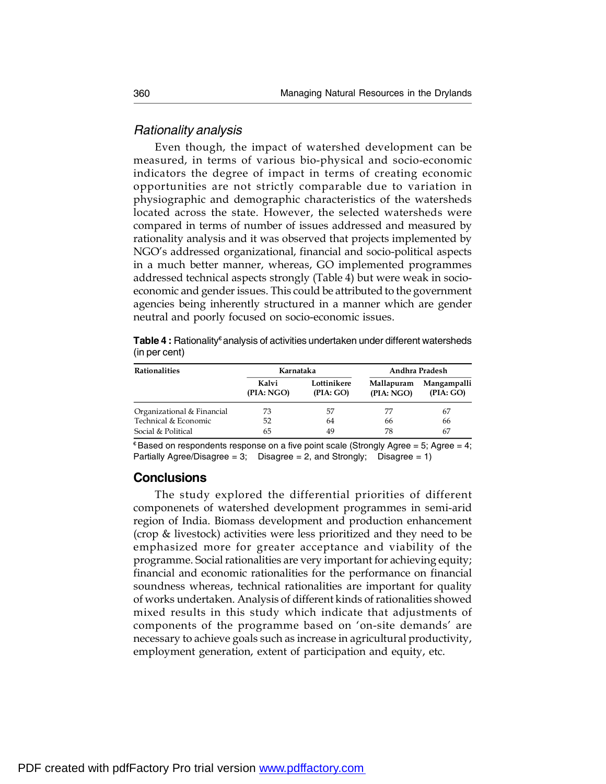#### *Rationality analysis*

Even though, the impact of watershed development can be measured, in terms of various bio-physical and socio-economic indicators the degree of impact in terms of creating economic opportunities are not strictly comparable due to variation in physiographic and demographic characteristics of the watersheds located across the state. However, the selected watersheds were compared in terms of number of issues addressed and measured by rationality analysis and it was observed that projects implemented by NGO's addressed organizational, financial and socio-political aspects in a much better manner, whereas, GO implemented programmes addressed technical aspects strongly (Table 4) but were weak in socioeconomic and gender issues. This could be attributed to the government agencies being inherently structured in a manner which are gender neutral and poorly focused on socio-economic issues.

**Table 4 :** Rationality€ analysis of activities undertaken under different watersheds (in per cent)

| <b>Rationalities</b>       | Karnataka          |                          | Andhra Pradesh           |                          |
|----------------------------|--------------------|--------------------------|--------------------------|--------------------------|
|                            | Kalvi<br>(PIA:NGO) | Lottinikere<br>(PIA: GO) | Mallapuram<br>(PIA: NGO) | Mangampalli<br>(PIA: GO) |
| Organizational & Financial | 73                 | 57                       | 77                       | 67                       |
| Technical & Economic       | 52                 | 64                       | 66                       | 66                       |
| Social & Political         | 65                 | 49                       | 78                       | 67                       |

 $E^*$ Based on respondents response on a five point scale (Strongly Agree = 5; Agree = 4; Partially Agree/Disagree = 3; Disagree = 2, and Strongly; Disagree = 1)

#### **Conclusions**

The study explored the differential priorities of different componenets of watershed development programmes in semi-arid region of India. Biomass development and production enhancement (crop & livestock) activities were less prioritized and they need to be emphasized more for greater acceptance and viability of the programme. Social rationalities are very important for achieving equity; financial and economic rationalities for the performance on financial soundness whereas, technical rationalities are important for quality of works undertaken. Analysis of different kinds ofrationalities showed mixed results in this study which indicate that adjustments of components of the programme based on 'on-site demands' are necessary to achieve goals such as increase in agricultural productivity, employment generation, extent of participation and equity, etc.